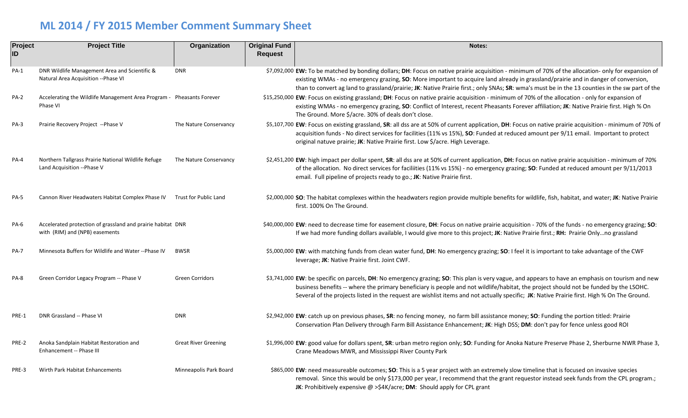## **ML 2014 / FY 2015 Member Comment Summary Sheet**

| Project<br>ID | <b>Project Title</b>                                                                          | Organization                | <b>Original Fund</b><br><b>Request</b> | Notes:                                                                                                                                                                                                                                                                                                                                                                                                                                              |
|---------------|-----------------------------------------------------------------------------------------------|-----------------------------|----------------------------------------|-----------------------------------------------------------------------------------------------------------------------------------------------------------------------------------------------------------------------------------------------------------------------------------------------------------------------------------------------------------------------------------------------------------------------------------------------------|
| $PA-1$        | DNR Wildlife Management Area and Scientific &<br>Natural Area Acquisition -- Phase VI         | <b>DNR</b>                  |                                        | \$7,092,000 EW: To be matched by bonding dollars; DH: Focus on native prairie acquisition - minimum of 70% of the allocation- only for expansion of<br>existing WMAs - no emergency grazing, <b>SO</b> : More important to acquire land already in grassland/prairie and in danger of conversion,<br>than to convert ag land to grassland/prairie; JK: Native Prairie first.; only SNAs; SR: wma's must be in the 13 counties in the sw part of the |
| <b>PA-2</b>   | Accelerating the Wildlife Management Area Program - Pheasants Forever<br>Phase VI             |                             |                                        | \$15,250,000 EW: Focus on existing grassland; DH: Focus on native prairie acquisition - minimum of 70% of the allocation - only for expansion of<br>existing WMAs - no emergency grazing, SO: Conflict of Interest, recent Pheasants Forever affiliation; JK: Native Prairie first. High % On<br>The Ground. More \$/acre. 30% of deals don't close.                                                                                                |
| PA-3          | Prairie Recovery Project --Phase V                                                            | The Nature Conservancy      |                                        | \$5,107,700 EW: Focus on existing grassland, SR: all dss are at 50% of current application, DH: Focus on native prairie acquisition - minimum of 70% of<br>acquisition funds - No direct services for facilities (11% vs 15%), SO: Funded at reduced amount per 9/11 email. Important to protect<br>original natuve prairie; JK: Native Prairie first. Low \$/acre. High Leverage.                                                                  |
| PA-4          | Northern Tallgrass Prairie National Wildlife Refuge<br>Land Acquisition -- Phase V            | The Nature Conservancy      |                                        | \$2,451,200 EW: high impact per dollar spent, SR: all dss are at 50% of current application, DH: Focus on native prairie acquisition - minimum of 70%<br>of the allocation. No direct services for faciliities (11% vs 15%) - no emergency grazing; SO: Funded at reduced amount per 9/11/2013<br>email. Full pipeline of projects ready to go.; JK: Native Prairie first.                                                                          |
| <b>PA-5</b>   | Cannon River Headwaters Habitat Complex Phase IV                                              | Trust for Public Land       |                                        | \$2,000,000 SO: The habitat complexes within the headwaters region provide multiple benefits for wildlife, fish, habitat, and water; JK: Native Prairie<br>first. 100% On The Ground.                                                                                                                                                                                                                                                               |
| PA-6          | Accelerated protection of grassland and prairie habitat DNR<br>with (RIM) and (NPB) easements |                             |                                        | \$40,000,000 EW: need to decrease time for easement closure, DH: Focus on native prairie acquisition - 70% of the funds - no emergency grazing; SO:<br>If we had more funding dollars available, I would give more to this project; JK: Native Prairie first.; RH: Prairie Onlyno grassland                                                                                                                                                         |
| <b>PA-7</b>   | Minnesota Buffers for Wildlife and Water --Phase IV                                           | <b>BWSR</b>                 |                                        | \$5,000,000 EW: with matching funds from clean water fund, DH: No emergency grazing; SO: I feel it is important to take advantage of the CWF<br>leverage; JK: Native Prairie first. Joint CWF.                                                                                                                                                                                                                                                      |
| PA-8          | Green Corridor Legacy Program -- Phase V                                                      | <b>Green Corridors</b>      |                                        | \$3,741,000 EW: be specific on parcels, DH: No emergency grazing; SO: This plan is very vague, and appears to have an emphasis on tourism and new<br>business benefits -- where the primary beneficiary is people and not wildlife/habitat, the project should not be funded by the LSOHC.<br>Several of the projects listed in the request are wishlist items and not actually specific; JK: Native Prairie first. High % On The Ground.           |
| PRE-1         | DNR Grassland -- Phase VI                                                                     | <b>DNR</b>                  |                                        | \$2,942,000 EW: catch up on previous phases, SR: no fencing money, no farm bill assistance money; SO: Funding the portion titled: Prairie<br>Conservation Plan Delivery through Farm Bill Assistance Enhancement; JK: High DSS; DM: don't pay for fence unless good ROI                                                                                                                                                                             |
| PRE-2         | Anoka Sandplain Habitat Restoration and<br>Enhancement -- Phase III                           | <b>Great River Greening</b> |                                        | \$1,996,000 EW: good value for dollars spent, SR: urban metro region only; SO: Funding for Anoka Nature Preserve Phase 2, Sherburne NWR Phase 3,<br>Crane Meadows MWR, and Mississippi River County Park                                                                                                                                                                                                                                            |
| PRE-3         | Wirth Park Habitat Enhancements                                                               | Minneapolis Park Board      |                                        | \$865,000 EW: need measureable outcomes; SO: This is a 5 year project with an extremely slow timeline that is focused on invasive species<br>removal. Since this would be only \$173,000 per year, I recommend that the grant requestor instead seek funds from the CPL program.;<br>JK: Prohibitively expensive $@>54K/acre$ ; DM: Should apply for CPL grant                                                                                      |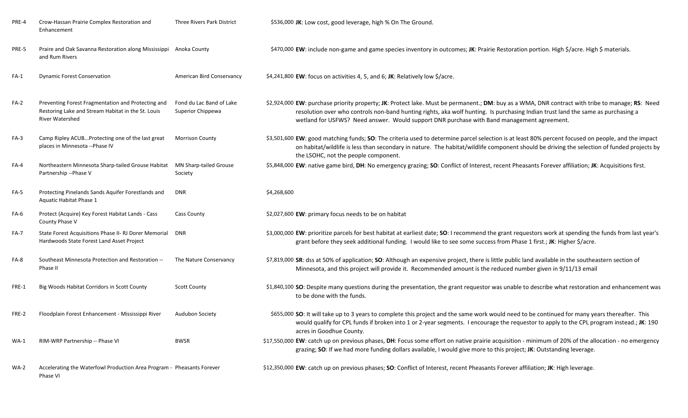| PRE-4       | Crow-Hassan Prairie Complex Restoration and<br>Enhancement                                                                         | Three Rivers Park District                    | \$536,000 JK: Low cost, good leverage, high % On The Ground.                                                                                                                                                                                                                                                                                                                      |
|-------------|------------------------------------------------------------------------------------------------------------------------------------|-----------------------------------------------|-----------------------------------------------------------------------------------------------------------------------------------------------------------------------------------------------------------------------------------------------------------------------------------------------------------------------------------------------------------------------------------|
| PRE-5       | Praire and Oak Savanna Restoration along Mississippi Anoka County<br>and Rum Rivers                                                |                                               | \$470,000 EW: include non-game and game species inventory in outcomes; JK: Prairie Restoration portion. High \$/acre. High \$ materials.                                                                                                                                                                                                                                          |
| $FA-1$      | <b>Dynamic Forest Conservation</b>                                                                                                 | American Bird Conservancy                     | \$4,241,800 EW: focus on activities 4, 5, and 6; JK: Relatively low \$/acre.                                                                                                                                                                                                                                                                                                      |
| FA-2        | Preventing Forest Fragmentation and Protecting and<br>Restoring Lake and Stream Habitat in the St. Louis<br><b>River Watershed</b> | Fond du Lac Band of Lake<br>Superior Chippewa | \$2,924,000 EW: purchase priority property; JK: Protect lake. Must be permanent.; DM: buy as a WMA, DNR contract with tribe to manage; RS: Need<br>resolution over who controls non-band hunting rights, aka wolf hunting. Is purchasing Indian trust land the same as purchasing a<br>wetland for USFWS? Need answer. Would support DNR purchase with Band management agreement. |
| $FA-3$      | Camp Ripley ACUBProtecting one of the last great<br>places in Minnesota -- Phase IV                                                | <b>Morrison County</b>                        | \$3,501,600 EW: good matching funds; SO: The criteria used to determine parcel selection is at least 80% percent focused on people, and the impact<br>on habitat/wildlife is less than secondary in nature. The habitat/wildlife component should be driving the selection of funded projects by<br>the LSOHC, not the people component.                                          |
| FA-4        | Northeastern Minnesota Sharp-tailed Grouse Habitat<br>Partnership -- Phase V                                                       | MN Sharp-tailed Grouse<br>Society             | \$5,848,000 EW: native game bird, DH: No emergency grazing; SO: Conflict of Interest, recent Pheasants Forever affiliation; JK: Acquisitions first.                                                                                                                                                                                                                               |
| <b>FA-5</b> | Protecting Pinelands Sands Aquifer Forestlands and<br>Aquatic Habitat Phase 1                                                      | <b>DNR</b>                                    | \$4,268,600                                                                                                                                                                                                                                                                                                                                                                       |
| FA-6        | Protect (Acquire) Key Forest Habitat Lands - Cass<br>County Phase V                                                                | <b>Cass County</b>                            | \$2,027,600 EW: primary focus needs to be on habitat                                                                                                                                                                                                                                                                                                                              |
| <b>FA-7</b> | State Forest Acquisitions Phase II- RJ Dorer Memorial<br>Hardwoods State Forest Land Asset Project                                 | DNR                                           | \$3,000,000 EW: prioritize parcels for best habitat at earliest date; SO: I recommend the grant requestors work at spending the funds from last year's<br>grant before they seek additional funding. I would like to see some success from Phase 1 first.; JK: Higher \$/acre.                                                                                                    |
| FA-8        | Southeast Minnesota Protection and Restoration --<br>Phase II                                                                      | The Nature Conservancy                        | \$7,819,000 SR: dss at 50% of application; SO: Although an expensive project, there is little public land available in the southeastern section of<br>Minnesota, and this project will provide it. Recommended amount is the reduced number given in 9/11/13 email                                                                                                                |
| FRE-1       | Big Woods Habitat Corridors in Scott County                                                                                        | <b>Scott County</b>                           | \$1,840,100 SO: Despite many questions during the presentation, the grant requestor was unable to describe what restoration and enhancement was<br>to be done with the funds.                                                                                                                                                                                                     |
| FRE-2       | Floodplain Forest Enhancement - Mississippi River                                                                                  | <b>Audubon Society</b>                        | \$655,000 SO: It will take up to 3 years to complete this project and the same work would need to be continued for many years thereafter. This<br>would qualify for CPL funds if broken into 1 or 2-year segments. I encourage the requestor to apply to the CPL program instead.; JK: 190<br>acres in Goodhue County.                                                            |
| $WA-1$      | RIM-WRP Partnership -- Phase VI                                                                                                    | <b>BWSR</b>                                   | \$17,550,000 EW: catch up on previous phases, DH: Focus some effort on native prairie acquisition - minimum of 20% of the allocation - no emergency<br>grazing; SO: If we had more funding dollars available, I would give more to this project; JK: Outstanding leverage.                                                                                                        |
| <b>WA-2</b> | Accelerating the Waterfowl Production Area Program - Pheasants Forever<br>Phase VI                                                 |                                               | \$12,350,000 EW: catch up on previous phases; SO: Conflict of Interest, recent Pheasants Forever affiliation; JK: High leverage.                                                                                                                                                                                                                                                  |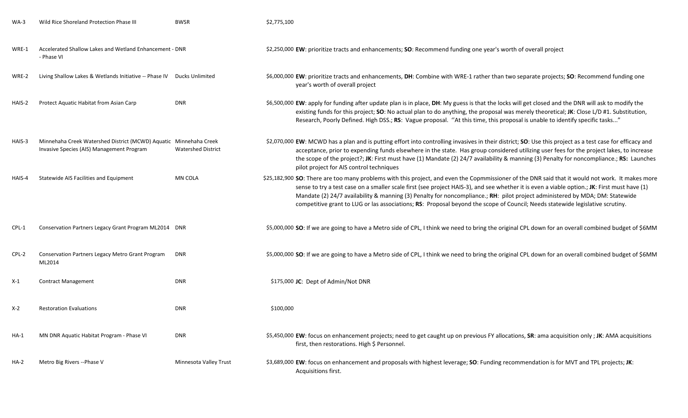| $WA-3$      | Wild Rice Shoreland Protection Phase III                                                                       | <b>BWSR</b>               | \$2,775,100                                                                                                                                                                                                                                                                                                                                                                                                                                                                                                                                                       |
|-------------|----------------------------------------------------------------------------------------------------------------|---------------------------|-------------------------------------------------------------------------------------------------------------------------------------------------------------------------------------------------------------------------------------------------------------------------------------------------------------------------------------------------------------------------------------------------------------------------------------------------------------------------------------------------------------------------------------------------------------------|
| WRE-1       | Accelerated Shallow Lakes and Wetland Enhancement - DNR<br>- Phase VI                                          |                           | \$2,250,000 EW: prioritize tracts and enhancements; SO: Recommend funding one year's worth of overall project                                                                                                                                                                                                                                                                                                                                                                                                                                                     |
| WRE-2       | Living Shallow Lakes & Wetlands Initiative -- Phase IV Ducks Unlimited                                         |                           | \$6,000,000 EW: prioritize tracts and enhancements, DH: Combine with WRE-1 rather than two separate projects; SO: Recommend funding one<br>year's worth of overall project                                                                                                                                                                                                                                                                                                                                                                                        |
| HAIS-2      | Protect Aquatic Habitat from Asian Carp                                                                        | <b>DNR</b>                | \$6,500,000 EW: apply for funding after update plan is in place, DH: My guess is that the locks will get closed and the DNR will ask to modify the<br>existing funds for this project; SO: No actual plan to do anything, the proposal was merely theoretical; JK: Close L/D #1. Substitution,<br>Research, Poorly Defined. High DSS.; RS: Vague proposal. "At this time, this proposal is unable to identify specific tasks"                                                                                                                                     |
| HAIS-3      | Minnehaha Creek Watershed District (MCWD) Aquatic Minnehaha Creek<br>Invasive Species (AIS) Management Program | <b>Watershed District</b> | \$2,070,000 EW: MCWD has a plan and is putting effort into controlling invasives in their district; SO: Use this project as a test case for efficacy and<br>acceptance, prior to expending funds elsewhere in the state. Has group considered utilizing user fees for the project lakes, to increase<br>the scope of the project?; JK: First must have (1) Mandate (2) 24/7 availability & manning (3) Penalty for noncompliance.; RS: Launches<br>pilot project for AIS control techniques                                                                       |
| HAIS-4      | Statewide AIS Facilities and Equipment                                                                         | MN COLA                   | \$25,182,900 SO: There are too many problems with this project, and even the Copmmissioner of the DNR said that it would not work. It makes more<br>sense to try a test case on a smaller scale first (see project HAIS-3), and see whether it is even a viable option.; JK: First must have (1)<br>Mandate (2) 24/7 availability & manning (3) Penalty for noncompliance.; RH: pilot project administered by MDA; DM: Statewide<br>competitive grant to LUG or las associations; RS: Proposal beyond the scope of Council; Needs statewide legislative scrutiny. |
| CPL-1       | Conservation Partners Legacy Grant Program ML2014 DNR                                                          |                           | \$5,000,000 SO: If we are going to have a Metro side of CPL, I think we need to bring the original CPL down for an overall combined budget of \$6MM                                                                                                                                                                                                                                                                                                                                                                                                               |
| CPL-2       | Conservation Partners Legacy Metro Grant Program<br>ML2014                                                     | <b>DNR</b>                | \$5,000,000 SO: If we are going to have a Metro side of CPL, I think we need to bring the original CPL down for an overall combined budget of \$6MM                                                                                                                                                                                                                                                                                                                                                                                                               |
| X-1         | <b>Contract Management</b>                                                                                     | <b>DNR</b>                | \$175,000 JC: Dept of Admin/Not DNR                                                                                                                                                                                                                                                                                                                                                                                                                                                                                                                               |
| X-2         | <b>Restoration Evaluations</b>                                                                                 | <b>DNR</b>                | \$100,000                                                                                                                                                                                                                                                                                                                                                                                                                                                                                                                                                         |
| HA-1        | MN DNR Aquatic Habitat Program - Phase VI                                                                      | <b>DNR</b>                | \$5,450,000 EW: focus on enhancement projects; need to get caught up on previous FY allocations, SR: ama acquisition only; JK: AMA acquisitions<br>first, then restorations. High \$ Personnel.                                                                                                                                                                                                                                                                                                                                                                   |
| <b>HA-2</b> | Metro Big Rivers -- Phase V                                                                                    | Minnesota Valley Trust    | \$3,689,000 EW: focus on enhancement and proposals with highest leverage; SO: Funding recommendation is for MVT and TPL projects; JK:<br>Acquisitions first.                                                                                                                                                                                                                                                                                                                                                                                                      |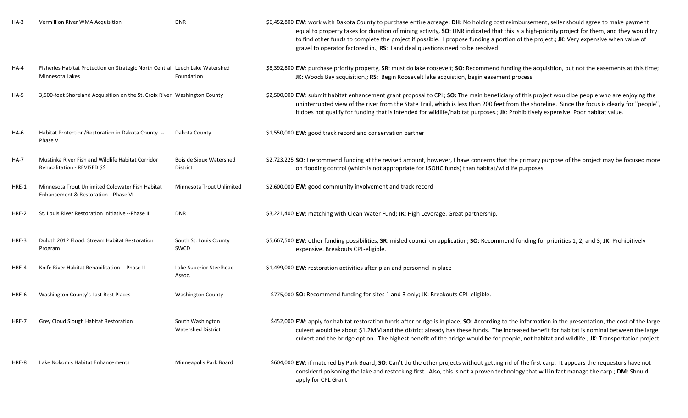| $HA-3$      | Vermillion River WMA Acquisition                                                                | <b>DNR</b>                                    | \$6,452,800 EW: work with Dakota County to purchase entire acreage; DH: No holding cost reimbursement, seller should agree to make payment<br>equal to property taxes for duration of mining activity, SO: DNR indicated that this is a high-priority project for them, and they would try<br>to find other funds to complete the project if possible. I propose funding a portion of the project.; JK: Very expensive when value of<br>gravel to operator factored in.; RS: Land deal questions need to be resolved |
|-------------|-------------------------------------------------------------------------------------------------|-----------------------------------------------|----------------------------------------------------------------------------------------------------------------------------------------------------------------------------------------------------------------------------------------------------------------------------------------------------------------------------------------------------------------------------------------------------------------------------------------------------------------------------------------------------------------------|
| HA-4        | Fisheries Habitat Protection on Strategic North Central Leech Lake Watershed<br>Minnesota Lakes | Foundation                                    | \$8,392,800 EW: purchase priority property, SR: must do lake roosevelt; SO: Recommend funding the acquisition, but not the easements at this time;<br>JK: Woods Bay acquisition.; RS: Begin Roosevelt lake acquistion, begin easement process                                                                                                                                                                                                                                                                        |
| <b>HA-5</b> | 3,500-foot Shoreland Acquisition on the St. Croix River Washington County                       |                                               | \$2,500,000 EW: submit habitat enhancement grant proposal to CPL; SO: The main beneficiary of this project would be people who are enjoying the<br>uninterrupted view of the river from the State Trail, which is less than 200 feet from the shoreline. Since the focus is clearly for "people",<br>it does not qualify for funding that is intended for wildlife/habitat purposes.; JK: Prohibitively expensive. Poor habitat value.                                                                               |
| HA-6        | Habitat Protection/Restoration in Dakota County --<br>Phase V                                   | Dakota County                                 | \$1,550,000 EW: good track record and conservation partner                                                                                                                                                                                                                                                                                                                                                                                                                                                           |
| <b>HA-7</b> | Mustinka River Fish and Wildlife Habitat Corridor<br>Rehabilitation - REVISED \$\$              | <b>Bois de Sioux Watershed</b><br>District    | \$2,723,225 SO: I recommend funding at the revised amount, however, I have concerns that the primary purpose of the project may be focused more<br>on flooding control (which is not appropriate for LSOHC funds) than habitat/wildlife purposes.                                                                                                                                                                                                                                                                    |
| HRE-1       | Minnesota Trout Unlimited Coldwater Fish Habitat<br>Enhancement & Restoration --Phase VI        | Minnesota Trout Unlimited                     | \$2,600,000 EW: good community involvement and track record                                                                                                                                                                                                                                                                                                                                                                                                                                                          |
| HRE-2       | St. Louis River Restoration Initiative --Phase II                                               | <b>DNR</b>                                    | \$3,221,400 EW: matching with Clean Water Fund; JK: High Leverage. Great partnership.                                                                                                                                                                                                                                                                                                                                                                                                                                |
| HRE-3       | Duluth 2012 Flood: Stream Habitat Restoration<br>Program                                        | South St. Louis County<br>SWCD                | \$5,667,500 EW: other funding possibilities, SR: misled council on application; SO: Recommend funding for priorities 1, 2, and 3; JK: Prohibitively<br>expensive. Breakouts CPL-eligible.                                                                                                                                                                                                                                                                                                                            |
| HRE-4       | Knife River Habitat Rehabilitation -- Phase II                                                  | Lake Superior Steelhead<br>Assoc.             | \$1,499,000 EW: restoration activities after plan and personnel in place                                                                                                                                                                                                                                                                                                                                                                                                                                             |
| HRE-6       | Washington County's Last Best Places                                                            | <b>Washington County</b>                      | \$775,000 SO: Recommend funding for sites 1 and 3 only; JK: Breakouts CPL-eligible.                                                                                                                                                                                                                                                                                                                                                                                                                                  |
| HRE-7       | Grey Cloud Slough Habitat Restoration                                                           | South Washington<br><b>Watershed District</b> | \$452,000 EW: apply for habitat restoration funds after bridge is in place; SO: According to the information in the presentation, the cost of the large<br>culvert would be about \$1.2MM and the district already has these funds. The increased benefit for habitat is nominal between the large<br>culvert and the bridge option. The highest benefit of the bridge would be for people, not habitat and wildlife.; JK: Transportation project.                                                                   |
| HRE-8       | Lake Nokomis Habitat Enhancements                                                               | Minneapolis Park Board                        | \$604,000 EW: if matched by Park Board; SO: Can't do the other projects without getting rid of the first carp. It appears the requestors have not<br>considerd poisoning the lake and restocking first. Also, this is not a proven technology that will in fact manage the carp.; DM: Should<br>apply for CPL Grant                                                                                                                                                                                                  |